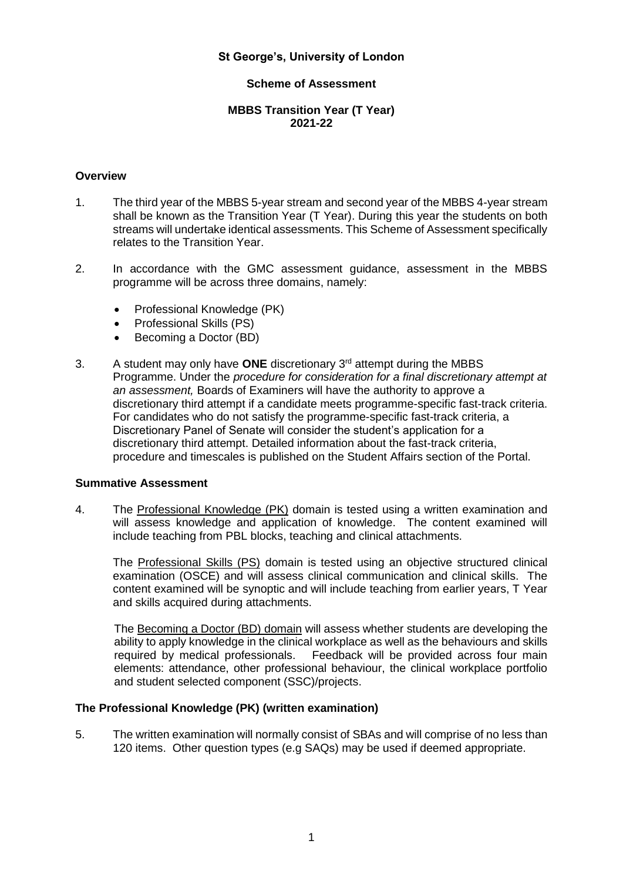## **St George's, University of London**

### **Scheme of Assessment**

### **MBBS Transition Year (T Year) 2021-22**

### **Overview**

- 1. The third year of the MBBS 5-year stream and second year of the MBBS 4-year stream shall be known as the Transition Year (T Year). During this year the students on both streams will undertake identical assessments. This Scheme of Assessment specifically relates to the Transition Year.
- 2. In accordance with the GMC assessment guidance, assessment in the MBBS programme will be across three domains, namely:
	- Professional Knowledge (PK)
	- Professional Skills (PS)
	- Becoming a Doctor (BD)
- 3. A student may only have **ONE** discretionary 3rd attempt during the MBBS Programme. Under the *procedure for consideration for a final discretionary attempt at an assessment,* Boards of Examiners will have the authority to approve a discretionary third attempt if a candidate meets programme-specific fast-track criteria. For candidates who do not satisfy the programme-specific fast-track criteria, a Discretionary Panel of Senate will consider the student's application for a discretionary third attempt. Detailed information about the fast-track criteria, procedure and timescales is published on the Student Affairs section of the Portal.

#### **Summative Assessment**

4. The Professional Knowledge (PK) domain is tested using a written examination and will assess knowledge and application of knowledge. The content examined will include teaching from PBL blocks, teaching and clinical attachments.

The Professional Skills (PS) domain is tested using an objective structured clinical examination (OSCE) and will assess clinical communication and clinical skills. The content examined will be synoptic and will include teaching from earlier years, T Year and skills acquired during attachments.

The Becoming a Doctor (BD) domain will assess whether students are developing the ability to apply knowledge in the clinical workplace as well as the behaviours and skills required by medical professionals. Feedback will be provided across four main elements: attendance, other professional behaviour, the clinical workplace portfolio and student selected component (SSC)/projects.

#### **The Professional Knowledge (PK) (written examination)**

5. The written examination will normally consist of SBAs and will comprise of no less than 120 items. Other question types (e.g SAQs) may be used if deemed appropriate.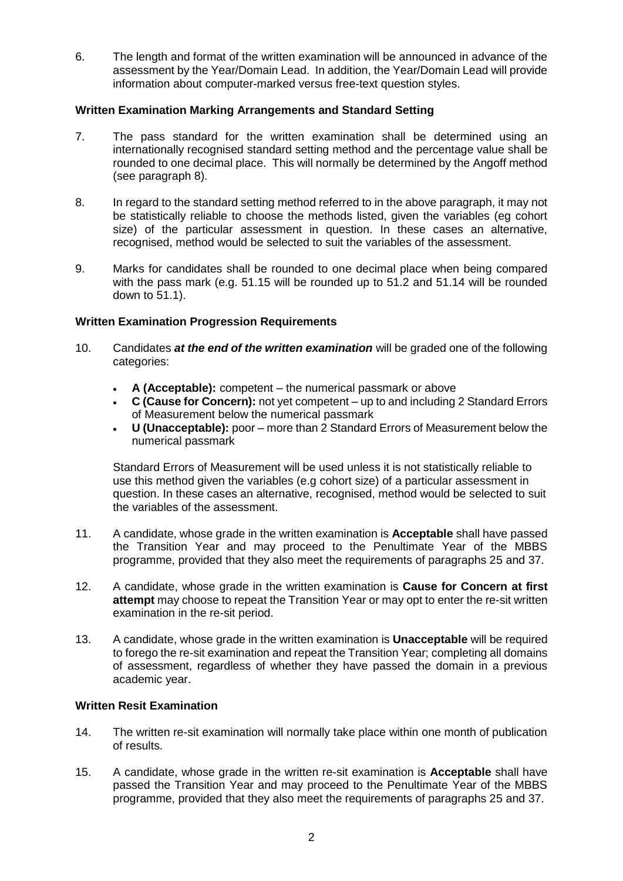6. The length and format of the written examination will be announced in advance of the assessment by the Year/Domain Lead. In addition, the Year/Domain Lead will provide information about computer-marked versus free-text question styles.

# **Written Examination Marking Arrangements and Standard Setting**

- 7. The pass standard for the written examination shall be determined using an internationally recognised standard setting method and the percentage value shall be rounded to one decimal place. This will normally be determined by the Angoff method (see paragraph 8).
- 8. In regard to the standard setting method referred to in the above paragraph, it may not be statistically reliable to choose the methods listed, given the variables (eg cohort size) of the particular assessment in question. In these cases an alternative, recognised, method would be selected to suit the variables of the assessment.
- 9. Marks for candidates shall be rounded to one decimal place when being compared with the pass mark (e.g. 51.15 will be rounded up to 51.2 and 51.14 will be rounded down to 51.1).

# **Written Examination Progression Requirements**

- 10. Candidates *at the end of the written examination* will be graded one of the following categories:
	- **A (Acceptable):** competent the numerical passmark or above
	- **C (Cause for Concern):** not yet competent up to and including 2 Standard Errors of Measurement below the numerical passmark
	- **U (Unacceptable):** poor more than 2 Standard Errors of Measurement below the numerical passmark

Standard Errors of Measurement will be used unless it is not statistically reliable to use this method given the variables (e.g cohort size) of a particular assessment in question. In these cases an alternative, recognised, method would be selected to suit the variables of the assessment.

- 11. A candidate, whose grade in the written examination is **Acceptable** shall have passed the Transition Year and may proceed to the Penultimate Year of the MBBS programme, provided that they also meet the requirements of paragraphs 25 and 37.
- 12. A candidate, whose grade in the written examination is **Cause for Concern at first attempt** may choose to repeat the Transition Year or may opt to enter the re-sit written examination in the re-sit period.
- 13. A candidate, whose grade in the written examination is **Unacceptable** will be required to forego the re-sit examination and repeat the Transition Year; completing all domains of assessment, regardless of whether they have passed the domain in a previous academic year.

## **Written Resit Examination**

- 14. The written re-sit examination will normally take place within one month of publication of results.
- 15. A candidate, whose grade in the written re-sit examination is **Acceptable** shall have passed the Transition Year and may proceed to the Penultimate Year of the MBBS programme, provided that they also meet the requirements of paragraphs 25 and 37.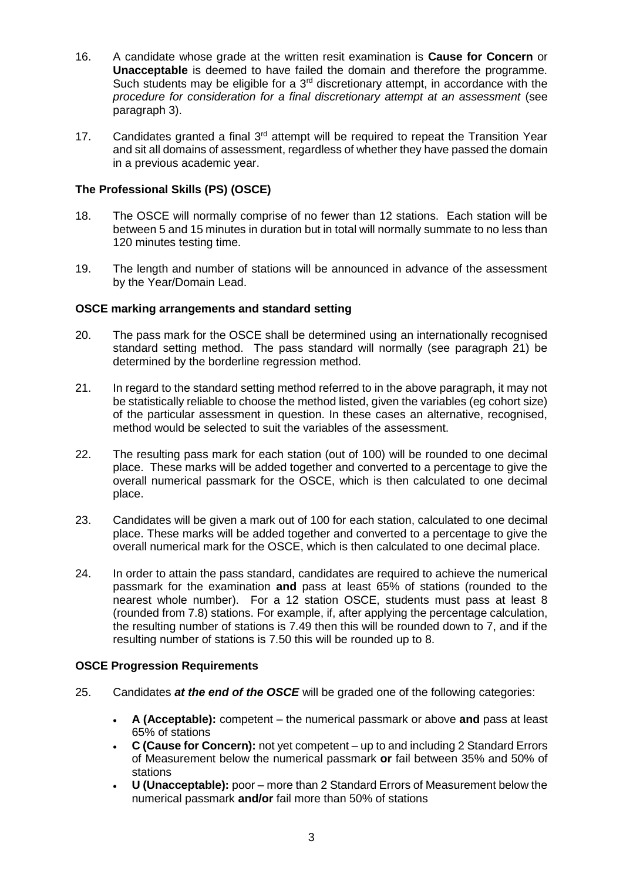- 16. A candidate whose grade at the written resit examination is **Cause for Concern** or **Unacceptable** is deemed to have failed the domain and therefore the programme. Such students may be eligible for a  $3<sup>rd</sup>$  discretionary attempt, in accordance with the *procedure for consideration for a final discretionary attempt at an assessment* (see paragraph 3).
- 17. Candidates granted a final  $3<sup>rd</sup>$  attempt will be required to repeat the Transition Year and sit all domains of assessment, regardless of whether they have passed the domain in a previous academic year.

# **The Professional Skills (PS) (OSCE)**

- 18. The OSCE will normally comprise of no fewer than 12 stations. Each station will be between 5 and 15 minutes in duration but in total will normally summate to no less than 120 minutes testing time.
- 19. The length and number of stations will be announced in advance of the assessment by the Year/Domain Lead.

## **OSCE marking arrangements and standard setting**

- 20. The pass mark for the OSCE shall be determined using an internationally recognised standard setting method. The pass standard will normally (see paragraph 21) be determined by the borderline regression method.
- 21. In regard to the standard setting method referred to in the above paragraph, it may not be statistically reliable to choose the method listed, given the variables (eg cohort size) of the particular assessment in question. In these cases an alternative, recognised, method would be selected to suit the variables of the assessment.
- 22. The resulting pass mark for each station (out of 100) will be rounded to one decimal place. These marks will be added together and converted to a percentage to give the overall numerical passmark for the OSCE, which is then calculated to one decimal place.
- 23. Candidates will be given a mark out of 100 for each station, calculated to one decimal place. These marks will be added together and converted to a percentage to give the overall numerical mark for the OSCE, which is then calculated to one decimal place.
- 24. In order to attain the pass standard, candidates are required to achieve the numerical passmark for the examination **and** pass at least 65% of stations (rounded to the nearest whole number). For a 12 station OSCE, students must pass at least 8 (rounded from 7.8) stations. For example, if, after applying the percentage calculation, the resulting number of stations is 7.49 then this will be rounded down to 7, and if the resulting number of stations is 7.50 this will be rounded up to 8.

## **OSCE Progression Requirements**

- 25. Candidates *at the end of the OSCE* will be graded one of the following categories:
	- **A (Acceptable):** competent the numerical passmark or above **and** pass at least 65% of stations
	- **C (Cause for Concern):** not yet competent up to and including 2 Standard Errors of Measurement below the numerical passmark **or** fail between 35% and 50% of stations
	- **U (Unacceptable):** poor more than 2 Standard Errors of Measurement below the numerical passmark **and/or** fail more than 50% of stations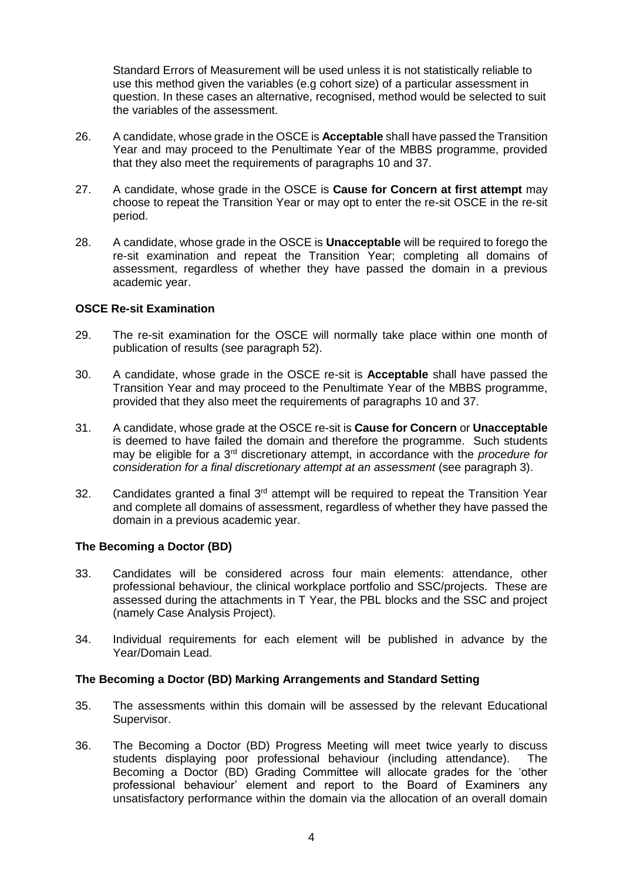Standard Errors of Measurement will be used unless it is not statistically reliable to use this method given the variables (e.g cohort size) of a particular assessment in question. In these cases an alternative, recognised, method would be selected to suit the variables of the assessment.

- 26. A candidate, whose grade in the OSCE is **Acceptable** shall have passed the Transition Year and may proceed to the Penultimate Year of the MBBS programme, provided that they also meet the requirements of paragraphs 10 and 37.
- 27. A candidate, whose grade in the OSCE is **Cause for Concern at first attempt** may choose to repeat the Transition Year or may opt to enter the re-sit OSCE in the re-sit period.
- 28. A candidate, whose grade in the OSCE is **Unacceptable** will be required to forego the re-sit examination and repeat the Transition Year; completing all domains of assessment, regardless of whether they have passed the domain in a previous academic year.

### **OSCE Re-sit Examination**

- 29. The re-sit examination for the OSCE will normally take place within one month of publication of results (see paragraph 52).
- 30. A candidate, whose grade in the OSCE re-sit is **Acceptable** shall have passed the Transition Year and may proceed to the Penultimate Year of the MBBS programme, provided that they also meet the requirements of paragraphs 10 and 37.
- 31. A candidate, whose grade at the OSCE re-sit is **Cause for Concern** or **Unacceptable** is deemed to have failed the domain and therefore the programme. Such students may be eligible for a 3rd discretionary attempt, in accordance with the *procedure for consideration for a final discretionary attempt at an assessment* (see paragraph 3).
- 32. Candidates granted a final  $3<sup>rd</sup>$  attempt will be required to repeat the Transition Year and complete all domains of assessment, regardless of whether they have passed the domain in a previous academic year.

#### **The Becoming a Doctor (BD)**

- 33. Candidates will be considered across four main elements: attendance, other professional behaviour, the clinical workplace portfolio and SSC/projects. These are assessed during the attachments in T Year, the PBL blocks and the SSC and project (namely Case Analysis Project).
- 34. Individual requirements for each element will be published in advance by the Year/Domain Lead.

#### **The Becoming a Doctor (BD) Marking Arrangements and Standard Setting**

- 35. The assessments within this domain will be assessed by the relevant Educational Supervisor.
- 36. The Becoming a Doctor (BD) Progress Meeting will meet twice yearly to discuss students displaying poor professional behaviour (including attendance). The Becoming a Doctor (BD) Grading Committee will allocate grades for the 'other professional behaviour' element and report to the Board of Examiners any unsatisfactory performance within the domain via the allocation of an overall domain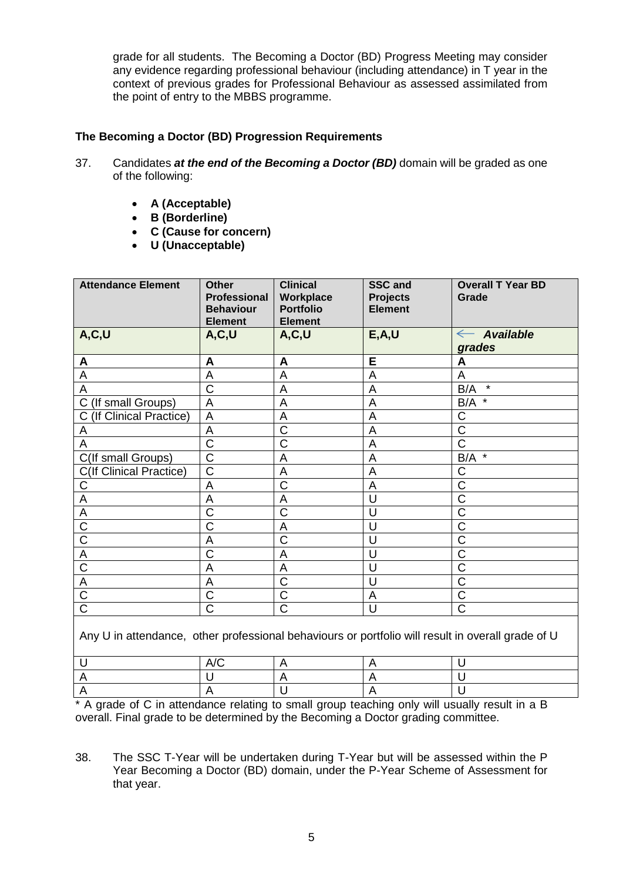grade for all students. The Becoming a Doctor (BD) Progress Meeting may consider any evidence regarding professional behaviour (including attendance) in T year in the context of previous grades for Professional Behaviour as assessed assimilated from the point of entry to the MBBS programme.

# **The Becoming a Doctor (BD) Progression Requirements**

- 37. Candidates *at the end of the Becoming a Doctor (BD)* domain will be graded as one of the following:
	- **A (Acceptable)**
	- **B (Borderline)**
	- **C (Cause for concern)**
	- **U (Unacceptable)**

| <b>Attendance Element</b>                                                                         | <b>Other</b><br><b>Professional</b><br><b>Behaviour</b><br><b>Element</b> | <b>Clinical</b><br>Workplace<br><b>Portfolio</b><br><b>Element</b> | <b>SSC and</b><br><b>Projects</b><br><b>Element</b> | <b>Overall T Year BD</b><br>Grade          |  |
|---------------------------------------------------------------------------------------------------|---------------------------------------------------------------------------|--------------------------------------------------------------------|-----------------------------------------------------|--------------------------------------------|--|
| A, C, U                                                                                           | A, C, U                                                                   | A, C, U                                                            | E, A, U                                             | <b>Available</b><br>$\leftarrow$<br>grades |  |
| A                                                                                                 | A                                                                         | A                                                                  | E                                                   | A                                          |  |
| A                                                                                                 | A                                                                         | $\overline{A}$                                                     | A                                                   | A                                          |  |
| A                                                                                                 | $\overline{\text{c}}$                                                     | A                                                                  | A                                                   | $\star$<br>B/A                             |  |
| C<br>(If small Groups)                                                                            | A                                                                         | A                                                                  | $\overline{A}$                                      | $\star$<br>B/A                             |  |
| (If Clinical Practice)<br>С                                                                       | A                                                                         | A                                                                  | A                                                   | C                                          |  |
| A                                                                                                 | A                                                                         | C                                                                  | A                                                   | C                                          |  |
| A                                                                                                 | $\overline{\text{c}}$                                                     | $\overline{\text{C}}$                                              | A                                                   | $\overline{\text{C}}$                      |  |
| C(If small Groups)                                                                                | $\overline{\text{c}}$                                                     | A                                                                  | A                                                   | B/A<br>$\star$                             |  |
| <b>C(If Clinical Practice)</b>                                                                    | $\overline{\text{C}}$                                                     | A                                                                  | A                                                   | C                                          |  |
| C                                                                                                 | A                                                                         | C                                                                  | A                                                   | C                                          |  |
| A                                                                                                 | A                                                                         | A                                                                  | U                                                   | Ċ                                          |  |
| A                                                                                                 | $\overline{C}$                                                            | C                                                                  | U                                                   | Ć                                          |  |
| $\overline{\text{C}}$                                                                             | C                                                                         | A                                                                  | U                                                   | Ċ                                          |  |
| C                                                                                                 | A                                                                         | $\overline{C}$                                                     | U                                                   | Ć                                          |  |
| A                                                                                                 | $\overline{\text{C}}$                                                     | A                                                                  | U                                                   | $\overline{\text{C}}$                      |  |
| $\overline{\text{c}}$                                                                             | A                                                                         | A                                                                  | U                                                   | $\overline{\text{C}}$                      |  |
| A                                                                                                 | A                                                                         | $\overline{\text{C}}$                                              | U                                                   | Ċ                                          |  |
| $\overline{\text{C}}$                                                                             | $\overline{\text{c}}$                                                     | $\overline{\text{C}}$                                              | $\overline{A}$                                      | Ċ                                          |  |
| $\overline{\text{C}}$                                                                             | $\overline{\text{C}}$                                                     | $\overline{\text{C}}$                                              | U                                                   | $\overline{\text{C}}$                      |  |
| Any U in attendance, other professional behaviours or portfolio will result in overall grade of U |                                                                           |                                                                    |                                                     |                                            |  |

\* A grade of C in attendance relating to small group teaching only will usually result in a B overall. Final grade to be determined by the Becoming a Doctor grading committee.

38. The SSC T-Year will be undertaken during T-Year but will be assessed within the P Year Becoming a Doctor (BD) domain, under the P-Year Scheme of Assessment for that year.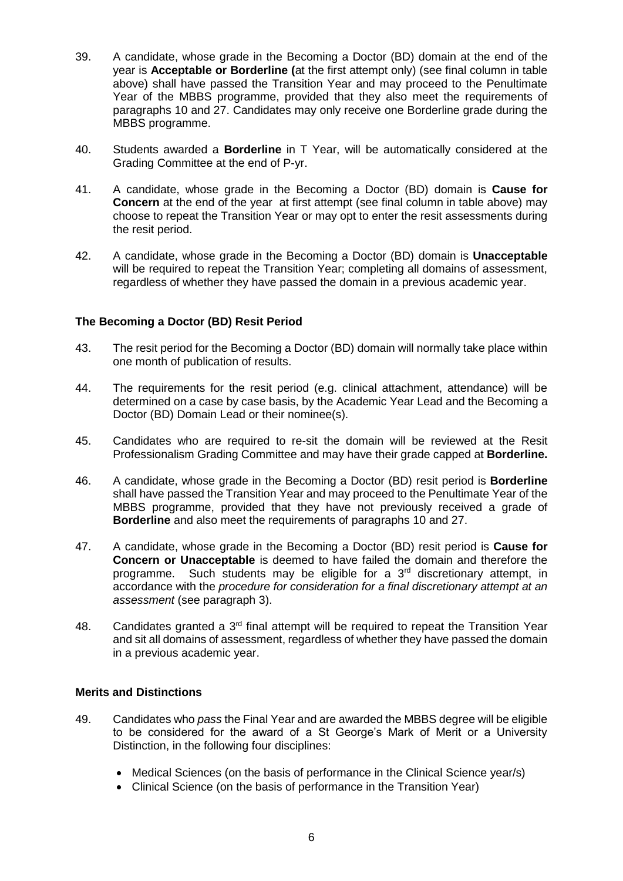- 39. A candidate, whose grade in the Becoming a Doctor (BD) domain at the end of the year is **Acceptable or Borderline (**at the first attempt only) (see final column in table above) shall have passed the Transition Year and may proceed to the Penultimate Year of the MBBS programme, provided that they also meet the requirements of paragraphs 10 and 27. Candidates may only receive one Borderline grade during the MBBS programme.
- 40. Students awarded a **Borderline** in T Year, will be automatically considered at the Grading Committee at the end of P-yr.
- 41. A candidate, whose grade in the Becoming a Doctor (BD) domain is **Cause for Concern** at the end of the year at first attempt (see final column in table above) may choose to repeat the Transition Year or may opt to enter the resit assessments during the resit period.
- 42. A candidate, whose grade in the Becoming a Doctor (BD) domain is **Unacceptable**  will be required to repeat the Transition Year; completing all domains of assessment, regardless of whether they have passed the domain in a previous academic year.

## **The Becoming a Doctor (BD) Resit Period**

- 43. The resit period for the Becoming a Doctor (BD) domain will normally take place within one month of publication of results.
- 44. The requirements for the resit period (e.g. clinical attachment, attendance) will be determined on a case by case basis, by the Academic Year Lead and the Becoming a Doctor (BD) Domain Lead or their nominee(s).
- 45. Candidates who are required to re-sit the domain will be reviewed at the Resit Professionalism Grading Committee and may have their grade capped at **Borderline.**
- 46. A candidate, whose grade in the Becoming a Doctor (BD) resit period is **Borderline**  shall have passed the Transition Year and may proceed to the Penultimate Year of the MBBS programme, provided that they have not previously received a grade of **Borderline** and also meet the requirements of paragraphs 10 and 27.
- 47. A candidate, whose grade in the Becoming a Doctor (BD) resit period is **Cause for Concern or Unacceptable** is deemed to have failed the domain and therefore the programme. Such students may be eligible for a 3<sup>rd</sup> discretionary attempt, in accordance with the *procedure for consideration for a final discretionary attempt at an assessment* (see paragraph 3).
- 48. Candidates granted a 3<sup>rd</sup> final attempt will be required to repeat the Transition Year and sit all domains of assessment, regardless of whether they have passed the domain in a previous academic year.

## **Merits and Distinctions**

- 49. Candidates who *pass* the Final Year and are awarded the MBBS degree will be eligible to be considered for the award of a St George's Mark of Merit or a University Distinction, in the following four disciplines:
	- Medical Sciences (on the basis of performance in the Clinical Science year/s)
	- Clinical Science (on the basis of performance in the Transition Year)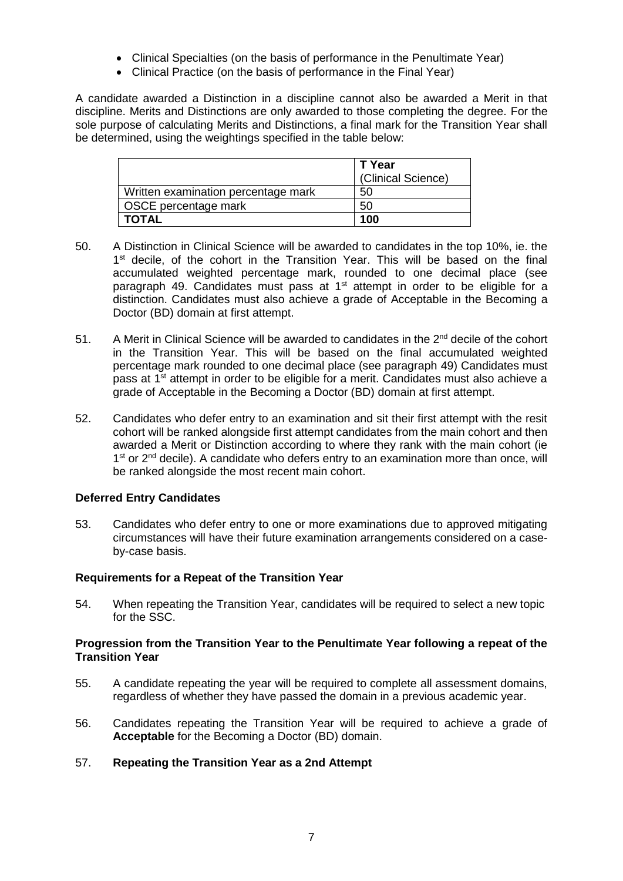- Clinical Specialties (on the basis of performance in the Penultimate Year)
- Clinical Practice (on the basis of performance in the Final Year)

A candidate awarded a Distinction in a discipline cannot also be awarded a Merit in that discipline. Merits and Distinctions are only awarded to those completing the degree. For the sole purpose of calculating Merits and Distinctions, a final mark for the Transition Year shall be determined, using the weightings specified in the table below:

|                                     | T Year<br>(Clinical Science) |
|-------------------------------------|------------------------------|
| Written examination percentage mark | 50                           |
| OSCE percentage mark                | 50                           |
| <b>TOTAL</b>                        | 100                          |

- 50. A Distinction in Clinical Science will be awarded to candidates in the top 10%, ie. the 1<sup>st</sup> decile, of the cohort in the Transition Year. This will be based on the final accumulated weighted percentage mark, rounded to one decimal place (see paragraph 49. Candidates must pass at 1<sup>st</sup> attempt in order to be eligible for a distinction. Candidates must also achieve a grade of Acceptable in the Becoming a Doctor (BD) domain at first attempt.
- 51. A Merit in Clinical Science will be awarded to candidates in the  $2^{nd}$  decile of the cohort in the Transition Year. This will be based on the final accumulated weighted percentage mark rounded to one decimal place (see paragraph 49) Candidates must pass at  $1<sup>st</sup>$  attempt in order to be eligible for a merit. Candidates must also achieve a grade of Acceptable in the Becoming a Doctor (BD) domain at first attempt.
- 52. Candidates who defer entry to an examination and sit their first attempt with the resit cohort will be ranked alongside first attempt candidates from the main cohort and then awarded a Merit or Distinction according to where they rank with the main cohort (ie 1<sup>st</sup> or 2<sup>nd</sup> decile). A candidate who defers entry to an examination more than once, will be ranked alongside the most recent main cohort.

## **Deferred Entry Candidates**

53. Candidates who defer entry to one or more examinations due to approved mitigating circumstances will have their future examination arrangements considered on a caseby-case basis.

## **Requirements for a Repeat of the Transition Year**

54. When repeating the Transition Year, candidates will be required to select a new topic for the SSC.

### **Progression from the Transition Year to the Penultimate Year following a repeat of the Transition Year**

- 55. A candidate repeating the year will be required to complete all assessment domains, regardless of whether they have passed the domain in a previous academic year.
- 56. Candidates repeating the Transition Year will be required to achieve a grade of **Acceptable** for the Becoming a Doctor (BD) domain.

## 57. **Repeating the Transition Year as a 2nd Attempt**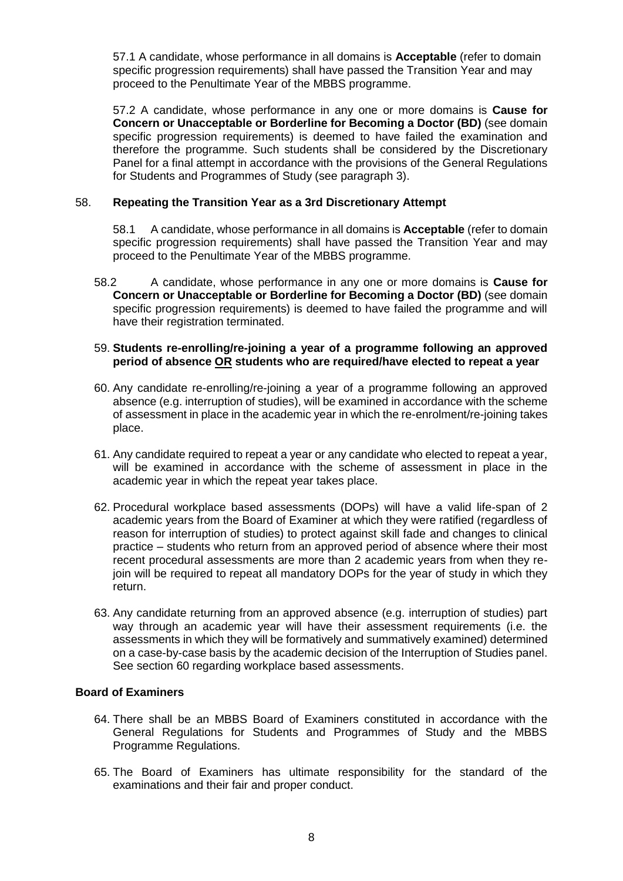57.1 A candidate, whose performance in all domains is **Acceptable** (refer to domain specific progression requirements) shall have passed the Transition Year and may proceed to the Penultimate Year of the MBBS programme.

57.2 A candidate, whose performance in any one or more domains is **Cause for Concern or Unacceptable or Borderline for Becoming a Doctor (BD)** (see domain specific progression requirements) is deemed to have failed the examination and therefore the programme. Such students shall be considered by the Discretionary Panel for a final attempt in accordance with the provisions of the General Regulations for Students and Programmes of Study (see paragraph 3).

## 58. **Repeating the Transition Year as a 3rd Discretionary Attempt**

58.1 A candidate, whose performance in all domains is **Acceptable** (refer to domain specific progression requirements) shall have passed the Transition Year and may proceed to the Penultimate Year of the MBBS programme.

58.2 A candidate, whose performance in any one or more domains is **Cause for Concern or Unacceptable or Borderline for Becoming a Doctor (BD)** (see domain specific progression requirements) is deemed to have failed the programme and will have their registration terminated.

#### 59. **Students re-enrolling/re-joining a year of a programme following an approved period of absence OR students who are required/have elected to repeat a year**

- 60. Any candidate re-enrolling/re-joining a year of a programme following an approved absence (e.g. interruption of studies), will be examined in accordance with the scheme of assessment in place in the academic year in which the re-enrolment/re-joining takes place.
- 61. Any candidate required to repeat a year or any candidate who elected to repeat a year, will be examined in accordance with the scheme of assessment in place in the academic year in which the repeat year takes place.
- 62. Procedural workplace based assessments (DOPs) will have a valid life-span of 2 academic years from the Board of Examiner at which they were ratified (regardless of reason for interruption of studies) to protect against skill fade and changes to clinical practice – students who return from an approved period of absence where their most recent procedural assessments are more than 2 academic years from when they rejoin will be required to repeat all mandatory DOPs for the year of study in which they return.
- 63. Any candidate returning from an approved absence (e.g. interruption of studies) part way through an academic year will have their assessment requirements (i.e. the assessments in which they will be formatively and summatively examined) determined on a case-by-case basis by the academic decision of the Interruption of Studies panel. See section 60 regarding workplace based assessments.

## **Board of Examiners**

- 64. There shall be an MBBS Board of Examiners constituted in accordance with the General Regulations for Students and Programmes of Study and the MBBS Programme Regulations.
- 65. The Board of Examiners has ultimate responsibility for the standard of the examinations and their fair and proper conduct.